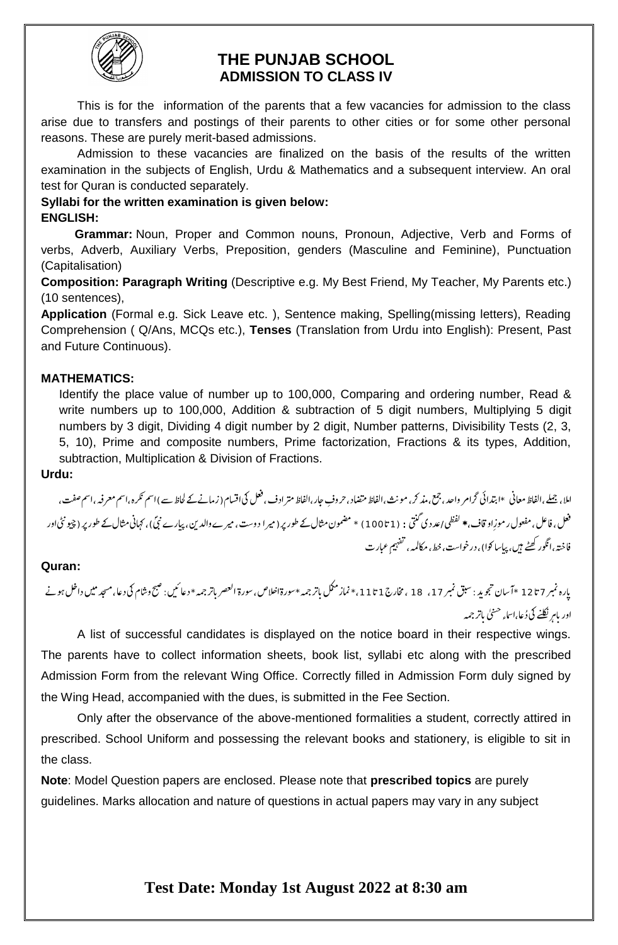

## **THE PUNJAB SCHOOL ADMISSION TO CLASS IV**

This is for the information of the parents that a few vacancies for admission to the class arise due to transfers and postings of their parents to other cities or for some other personal reasons. These are purely merit-based admissions.

Admission to these vacancies are finalized on the basis of the results of the written examination in the subjects of English, Urdu & Mathematics and a subsequent interview. An oral test for Quran is conducted separately.

#### **Syllabi for the written examination is given below: ENGLISH:**

 **Grammar:** Noun, Proper and Common nouns, Pronoun, Adjective, Verb and Forms of verbs, Adverb, Auxiliary Verbs, Preposition, genders (Masculine and Feminine), Punctuation (Capitalisation)

**Composition: Paragraph Writing** (Descriptive e.g. My Best Friend, My Teacher, My Parents etc.) (10 sentences),

**Application** (Formal e.g. Sick Leave etc. ), Sentence making, Spelling(missing letters), Reading Comprehension ( Q/Ans, MCQs etc.), **Tenses** (Translation from Urdu into English): Present, Past and Future Continuous).

### **MATHEMATICS:**

Identify the place value of number up to 100,000, Comparing and ordering number, Read & write numbers up to 100,000, Addition & subtraction of 5 digit numbers, Multiplying 5 digit numbers by 3 digit, Dividing 4 digit number by 2 digit, Number patterns, Divisibility Tests (2, 3, 5, 10), Prime and composite numbers, Prime factorization, Fractions & its types, Addition, subtraction, Multiplication & Division of Fractions.

**Urdu:** 

اعلا، جیلے،الفاظ معانی ٭ابتدائی گرامر واحد، جمع،مذ کر، مونث،الفاظ مترادف، فعل کی کی اقسام (زمانے کے لحاظ سے ) اسم تکرہ،اسم معرفہ،اسم صفت، l. j  $\overline{\phantom{a}}$ l. l.  $\overline{a}$ فعل ، فاعل ، مفعول ر موزِاو قاف، \* لفظی *|عد* دی گنتی : (1تا 100 ) \* مضمون مثال کے طور پر ( میر ا دوست ، میرے والدین، پیارے نئی) ، کہانی مثال کے طور پر (چیو نٹی اور J J فاختہ،انگور کھٹے ہیں، پیاسا کوا)، درخواست، خط، مکالمہ،  $\overline{a}$  $\overline{a}$ تعفہیم عبارت

## **Quran:**

A list of successful candidates is displayed on the notice board in their respective wings. The parents have to collect information sheets, book list, syllabi etc along with the prescribed Admission Form from the relevant Wing Office. Correctly filled in Admission Form duly signed by the Wing Head, accompanied with the dues, is submitted in the Fee Section.

Only after the observance of the above-mentioned formalities a student, correctly attired in prescribed. School Uniform and possessing the relevant books and stationery, is eligible to sit in the class.

**Note**: Model Question papers are enclosed. Please note that **prescribed topics** are purely guidelines. Marks allocation and nature of questions in actual papers may vary in any subject

# **Test Date: Monday 1st August 2022 at 8:30 am**

يارہ نمبر 7 تا 12 \*آ سان تجويد : سبق نمبر 17 ، 18 ، مخارج1 تا 11 ، \* نماز مكل باتر جمه  $\overline{a}$  $\overline{\cdot}$  $\overline{\phantom{a}}$  $\overline{\phantom{a}}$ \*وسرہ  $\overline{\phantom{a}}$ اخلاص، سورۃ العصر باتر جمہ \* دعائ<sup>م</sup>یں: صبح وشام کی دعا، دعا نيں: صبح وشام فی دعا، مسجد میں داخل ہونے  $\ast$ اور بام<sub>ر</sub> نکلنے کی دُعا،اساء <sup>حسنی</sup> باتر جمہ ֞ ہ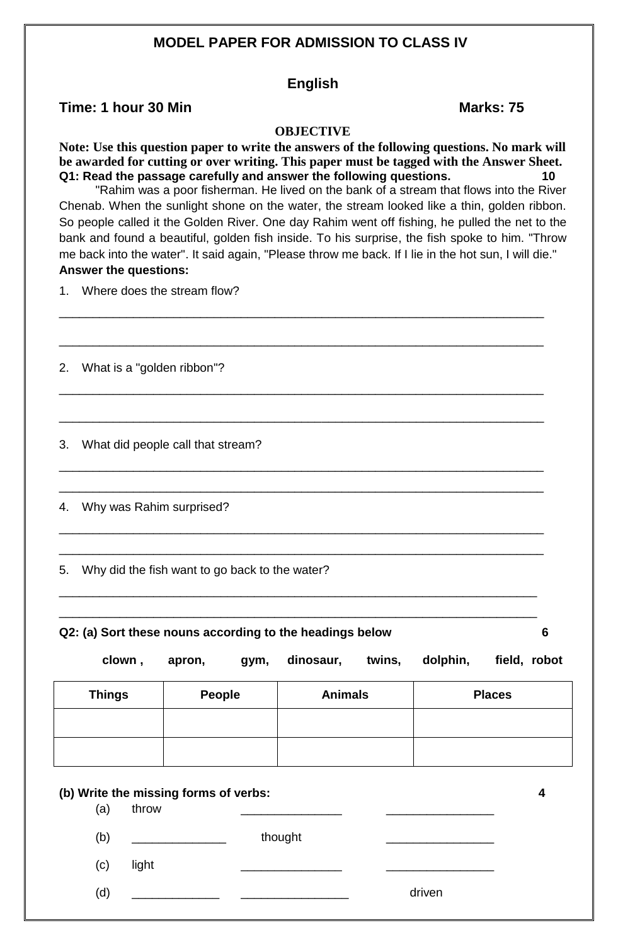## **MODEL PAPER FOR ADMISSION TO CLASS IV**

#### **English**

### **Time: 1 hour 30 Min Marks: 75**

#### **OBJECTIVE**

**Note: Use this question paper to write the answers of the following questions. No mark will be awarded for cutting or over writing. This paper must be tagged with the Answer Sheet. Q1: Read the passage carefully and answer the following questions. 10**

"Rahim was a poor fisherman. He lived on the bank of a stream that flows into the River Chenab. When the sunlight shone on the water, the stream looked like a thin, golden ribbon. So people called it the Golden River. One day Rahim went off fishing, he pulled the net to the bank and found a beautiful, golden fish inside. To his surprise, the fish spoke to him. "Throw me back into the water". It said again, "Please throw me back. If I lie in the hot sun, I will die." **Answer the questions:**

\_\_\_\_\_\_\_\_\_\_\_\_\_\_\_\_\_\_\_\_\_\_\_\_\_\_\_\_\_\_\_\_\_\_\_\_\_\_\_\_\_\_\_\_\_\_\_\_\_\_\_\_\_\_\_\_\_\_\_\_\_\_\_\_\_\_\_\_\_\_\_\_

\_\_\_\_\_\_\_\_\_\_\_\_\_\_\_\_\_\_\_\_\_\_\_\_\_\_\_\_\_\_\_\_\_\_\_\_\_\_\_\_\_\_\_\_\_\_\_\_\_\_\_\_\_\_\_\_\_\_\_\_\_\_\_\_\_\_\_\_\_\_\_\_

\_\_\_\_\_\_\_\_\_\_\_\_\_\_\_\_\_\_\_\_\_\_\_\_\_\_\_\_\_\_\_\_\_\_\_\_\_\_\_\_\_\_\_\_\_\_\_\_\_\_\_\_\_\_\_\_\_\_\_\_\_\_\_\_\_\_\_\_\_\_\_\_

\_\_\_\_\_\_\_\_\_\_\_\_\_\_\_\_\_\_\_\_\_\_\_\_\_\_\_\_\_\_\_\_\_\_\_\_\_\_\_\_\_\_\_\_\_\_\_\_\_\_\_\_\_\_\_\_\_\_\_\_\_\_\_\_\_\_\_\_\_\_\_\_

\_\_\_\_\_\_\_\_\_\_\_\_\_\_\_\_\_\_\_\_\_\_\_\_\_\_\_\_\_\_\_\_\_\_\_\_\_\_\_\_\_\_\_\_\_\_\_\_\_\_\_\_\_\_\_\_\_\_\_\_\_\_\_\_\_\_\_\_\_\_\_\_

\_\_\_\_\_\_\_\_\_\_\_\_\_\_\_\_\_\_\_\_\_\_\_\_\_\_\_\_\_\_\_\_\_\_\_\_\_\_\_\_\_\_\_\_\_\_\_\_\_\_\_\_\_\_\_\_\_\_\_\_\_\_\_\_\_\_\_\_\_\_\_\_

\_\_\_\_\_\_\_\_\_\_\_\_\_\_\_\_\_\_\_\_\_\_\_\_\_\_\_\_\_\_\_\_\_\_\_\_\_\_\_\_\_\_\_\_\_\_\_\_\_\_\_\_\_\_\_\_\_\_\_\_\_\_\_\_\_\_\_\_\_\_\_\_

\_\_\_\_\_\_\_\_\_\_\_\_\_\_\_\_\_\_\_\_\_\_\_\_\_\_\_\_\_\_\_\_\_\_\_\_\_\_\_\_\_\_\_\_\_\_\_\_\_\_\_\_\_\_\_\_\_\_\_\_\_\_\_\_\_\_\_\_\_\_\_\_

\_\_\_\_\_\_\_\_\_\_\_\_\_\_\_\_\_\_\_\_\_\_\_\_\_\_\_\_\_\_\_\_\_\_\_\_\_\_\_\_\_\_\_\_\_\_\_\_\_\_\_\_\_\_\_\_\_\_\_\_\_\_\_\_\_\_\_\_\_\_\_

\_\_\_\_\_\_\_\_\_\_\_\_\_\_\_\_\_\_\_\_\_\_\_\_\_\_\_\_\_\_\_\_\_\_\_\_\_\_\_\_\_\_\_\_\_\_\_\_\_\_\_\_\_\_\_\_\_\_\_\_\_\_\_\_\_\_\_\_\_\_\_

1. Where does the stream flow?

2. What is a "golden ribbon"?

3. What did people call that stream?

4. Why was Rahim surprised?

5. Why did the fish want to go back to the water?

**Q2: (a) Sort these nouns according to the headings below 6**

 **clown , apron, gym, dinosaur, twins, dolphin, field, robot**

| <b>Things</b> | <b>People</b> | <b>Animals</b> | <b>Places</b> |
|---------------|---------------|----------------|---------------|
|               |               |                |               |
|               |               |                |               |

| (a) | (b) Write the missing forms of verbs:<br>throw |         |        |  |
|-----|------------------------------------------------|---------|--------|--|
| (b) | <u> 1980 - Jan Barbara Barat, prima popula</u> | thought |        |  |
| (c) | light                                          |         |        |  |
| (d) |                                                |         | driven |  |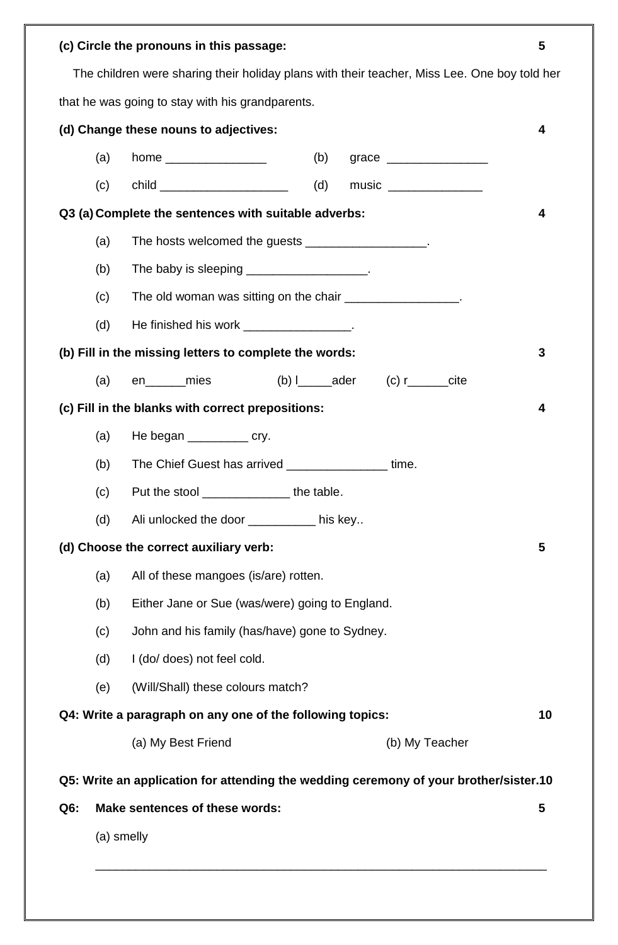|        |            | (c) Circle the pronouns in this passage:                                                     |     |                                                                                                                                                                                                                                                                                        | 5  |
|--------|------------|----------------------------------------------------------------------------------------------|-----|----------------------------------------------------------------------------------------------------------------------------------------------------------------------------------------------------------------------------------------------------------------------------------------|----|
|        |            | The children were sharing their holiday plans with their teacher, Miss Lee. One boy told her |     |                                                                                                                                                                                                                                                                                        |    |
|        |            | that he was going to stay with his grandparents.                                             |     |                                                                                                                                                                                                                                                                                        |    |
|        |            | (d) Change these nouns to adjectives:                                                        |     |                                                                                                                                                                                                                                                                                        | 4  |
|        | (a)        |                                                                                              | (b) | grace ____________________                                                                                                                                                                                                                                                             |    |
|        | (c)        | child ________________________                                                               | (d) | music $\frac{1}{2}$ music $\frac{1}{2}$ music $\frac{1}{2}$ music $\frac{1}{2}$ music $\frac{1}{2}$ music $\frac{1}{2}$ music $\frac{1}{2}$ music $\frac{1}{2}$ music $\frac{1}{2}$ music $\frac{1}{2}$ music $\frac{1}{2}$ music $\frac{1}{2}$ music $\frac{1}{2}$ music $\frac{1}{2$ |    |
|        |            | Q3 (a) Complete the sentences with suitable adverbs:                                         |     |                                                                                                                                                                                                                                                                                        | 4  |
|        | (a)        | The hosts welcomed the guests ____________________.                                          |     |                                                                                                                                                                                                                                                                                        |    |
|        | (b)        | The baby is sleeping _____________________.                                                  |     |                                                                                                                                                                                                                                                                                        |    |
|        | (c)        | The old woman was sitting on the chair __________________.                                   |     |                                                                                                                                                                                                                                                                                        |    |
|        | (d)        | He finished his work _________________.                                                      |     |                                                                                                                                                                                                                                                                                        |    |
|        |            | (b) Fill in the missing letters to complete the words:                                       |     |                                                                                                                                                                                                                                                                                        | 3  |
|        | (a)        | en mies                                                                                      |     | (b) $I_{\text{1}}$ ader (c) $I_{\text{2}}$ cite                                                                                                                                                                                                                                        |    |
|        |            | (c) Fill in the blanks with correct prepositions:                                            |     |                                                                                                                                                                                                                                                                                        | 4  |
|        | (a)        | He began _____________ cry.                                                                  |     |                                                                                                                                                                                                                                                                                        |    |
|        | (b)        | The Chief Guest has arrived _________________                                                |     | time.                                                                                                                                                                                                                                                                                  |    |
|        | (c)        | Put the stool ________________the table.                                                     |     |                                                                                                                                                                                                                                                                                        |    |
|        | (d)        | Ali unlocked the door ___________ his key                                                    |     |                                                                                                                                                                                                                                                                                        |    |
|        |            | (d) Choose the correct auxiliary verb:                                                       |     |                                                                                                                                                                                                                                                                                        | 5  |
|        | (a)        | All of these mangoes (is/are) rotten.                                                        |     |                                                                                                                                                                                                                                                                                        |    |
|        | (b)        | Either Jane or Sue (was/were) going to England.                                              |     |                                                                                                                                                                                                                                                                                        |    |
|        | (c)        | John and his family (has/have) gone to Sydney.                                               |     |                                                                                                                                                                                                                                                                                        |    |
|        | (d)        | I (do/ does) not feel cold.                                                                  |     |                                                                                                                                                                                                                                                                                        |    |
|        | (e)        | (Will/Shall) these colours match?                                                            |     |                                                                                                                                                                                                                                                                                        |    |
|        |            | Q4: Write a paragraph on any one of the following topics:                                    |     |                                                                                                                                                                                                                                                                                        | 10 |
|        |            | (a) My Best Friend                                                                           |     | (b) My Teacher                                                                                                                                                                                                                                                                         |    |
|        |            | Q5: Write an application for attending the wedding ceremony of your brother/sister.10        |     |                                                                                                                                                                                                                                                                                        |    |
| $Q6$ : |            | Make sentences of these words:                                                               |     |                                                                                                                                                                                                                                                                                        | 5  |
|        | (a) smelly |                                                                                              |     |                                                                                                                                                                                                                                                                                        |    |
|        |            |                                                                                              |     |                                                                                                                                                                                                                                                                                        |    |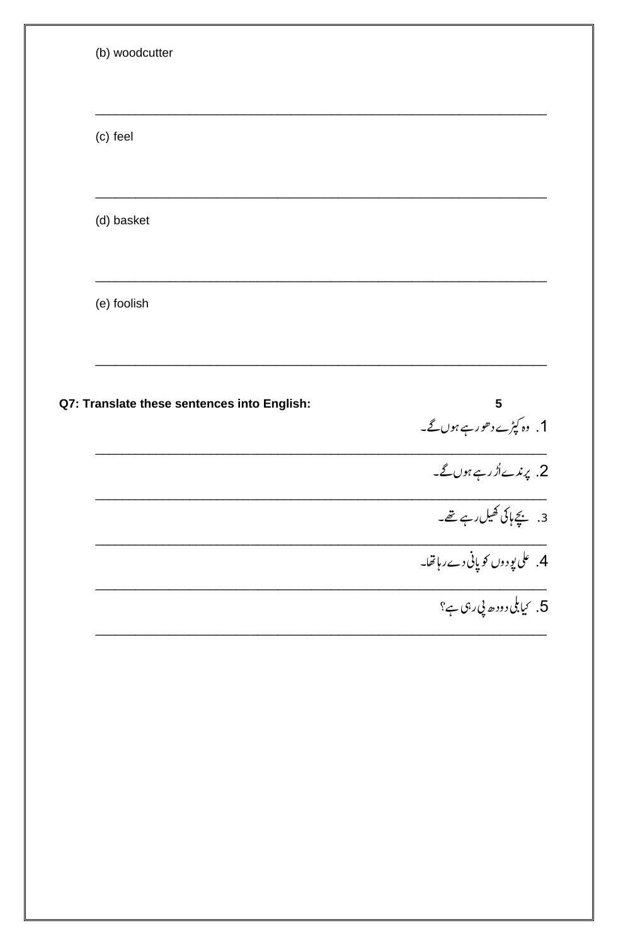| (c) feel                                    |                                                     |
|---------------------------------------------|-----------------------------------------------------|
|                                             |                                                     |
| (d) basket                                  |                                                     |
|                                             |                                                     |
| (e) foolish                                 |                                                     |
|                                             |                                                     |
|                                             |                                                     |
|                                             | $\overline{\mathbf{5}}$                             |
| Q7: Translate these sentences into English: | 1. وہ کپڑے دھور ہے ہوں گے۔                          |
|                                             |                                                     |
|                                             | 2. پرندےاُڑرہے ہوں گے۔<br>3. بچے ہاکی کھیل رہے تھے۔ |
|                                             | 4. على يودوں <sub>ك</sub> و پانى دے رہاتھا۔         |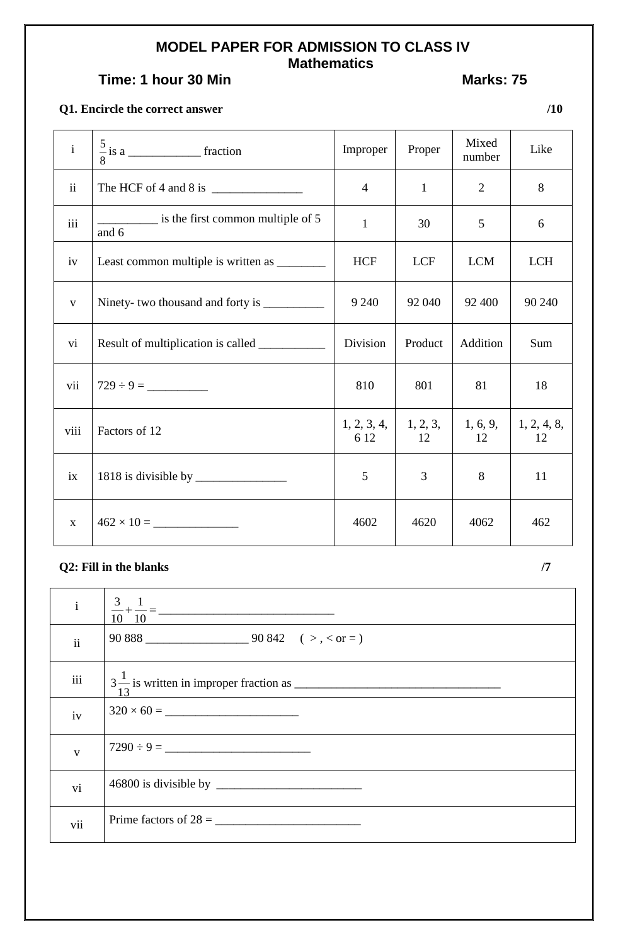## **MODEL PAPER FOR ADMISSION TO CLASS IV Mathematics**

# **Time: 1 hour 30 Min Marks: 75**

## **Q1. Encircle the correct answer /10**

| $\mathbf{i}$            |                                            | Improper            | Proper         | Mixed<br>number | Like              |
|-------------------------|--------------------------------------------|---------------------|----------------|-----------------|-------------------|
| ii                      | The HCF of 4 and 8 is $\frac{1}{2}$        | $\overline{4}$      | $\mathbf{1}$   | $\overline{2}$  | 8                 |
| $\overline{\text{iii}}$ | is the first common multiple of 5<br>and 6 | $\mathbf{1}$        | 30             | 5               | 6                 |
| iv                      |                                            | <b>HCF</b>          | <b>LCF</b>     | <b>LCM</b>      | <b>LCH</b>        |
| $\mathbf{V}$            |                                            | 9 2 4 0             | 92 040         | 92 400          | 90 240            |
| vi                      | Result of multiplication is called         | Division            | Product        | Addition        | Sum               |
| vii                     |                                            | 810                 | 801            | 81              | 18                |
| viii                    | Factors of 12                              | 1, 2, 3, 4,<br>6 12 | 1, 2, 3,<br>12 | 1, 6, 9,<br>12  | 1, 2, 4, 8,<br>12 |
| ix                      |                                            | 5                   | 3              | 8               | 11                |
| $\mathbf{X}$            |                                            | 4602                | 4620           | 4062            | 462               |

## $Q2$ : Fill in the blanks  $/7$

| $\mathbf{i}$  |                         |
|---------------|-------------------------|
| $\mathbf{ii}$ |                         |
| iii           |                         |
| iv            |                         |
| $\mathbf{V}$  | $7290 \div 9 =$         |
| vi            |                         |
| vii           | Prime factors of $28 =$ |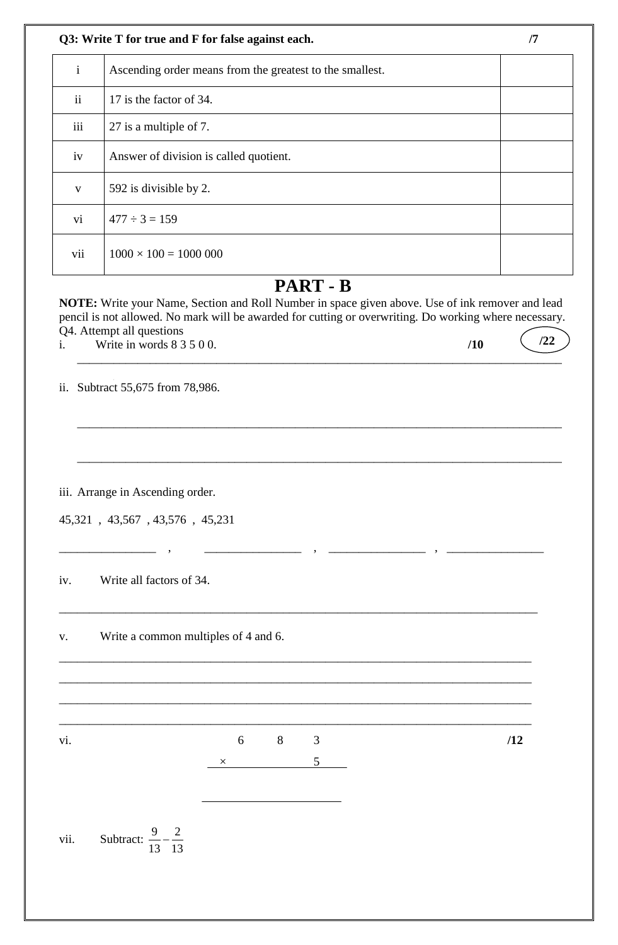|  | Q3: Write T for true and F for false against each. |  |
|--|----------------------------------------------------|--|
|--|----------------------------------------------------|--|

| $\mathbf{i}$  | Ascending order means from the greatest to the smallest. |  |
|---------------|----------------------------------------------------------|--|
| $\mathbf{ii}$ | 17 is the factor of 34.                                  |  |
| iii           | 27 is a multiple of 7.                                   |  |
| iv            | Answer of division is called quotient.                   |  |
| V             | 592 is divisible by 2.                                   |  |
| vi            | $477 \div 3 = 159$                                       |  |
| vii           | $1000 \times 100 = 1000000$                              |  |

# **PART - B**

**NOTE:** Write your Name, Section and Roll Number in space given above. Use of ink remover and lead pencil is not allowed. No mark will be awarded for cutting or overwriting. Do working where necessary. Q4. Attempt all questions i. Write in words 8 3 5 0 0. **/10 /22**

 $\overline{\phantom{a}}$  , and the set of the set of the set of the set of the set of the set of the set of the set of the set of the set of the set of the set of the set of the set of the set of the set of the set of the set of the s

\_\_\_\_\_\_\_\_\_\_\_\_\_\_\_\_\_\_\_\_\_\_\_\_\_\_\_\_\_\_\_\_\_\_\_\_\_\_\_\_\_\_\_\_\_\_\_\_\_\_\_\_\_\_\_\_\_\_\_\_\_\_\_\_\_\_\_\_\_\_\_\_\_\_\_\_\_\_\_\_

\_\_\_\_\_\_\_\_\_\_\_\_\_\_\_\_\_\_\_\_\_\_\_\_\_\_\_\_\_\_\_\_\_\_\_\_\_\_\_\_\_\_\_\_\_\_\_\_\_\_\_\_\_\_\_\_\_\_\_\_\_\_\_\_\_\_\_\_\_\_\_\_\_\_\_\_\_\_\_\_

\_\_\_\_\_\_\_\_\_\_\_\_\_\_\_\_ , \_\_\_\_\_\_\_\_\_\_\_\_\_\_\_\_ , \_\_\_\_\_\_\_\_\_\_\_\_\_\_\_\_ , \_\_\_\_\_\_\_\_\_\_\_\_\_\_\_\_

\_\_\_\_\_\_\_\_\_\_\_\_\_\_\_\_\_\_\_\_\_\_\_\_\_\_\_\_\_\_\_\_\_\_\_\_\_\_\_\_\_\_\_\_\_\_\_\_\_\_\_\_\_\_\_\_\_\_\_\_\_\_\_\_\_\_\_\_\_\_\_\_\_\_\_\_\_\_\_

\_\_\_\_\_\_\_\_\_\_\_\_\_\_\_\_\_\_\_\_\_\_\_\_\_\_\_\_\_\_\_\_\_\_\_\_\_\_\_\_\_\_\_\_\_\_\_\_\_\_\_\_\_\_\_\_\_\_\_\_\_\_\_\_\_\_\_\_\_\_\_\_\_\_\_\_\_\_

\_\_\_\_\_\_\_\_\_\_\_\_\_\_\_\_\_\_\_\_\_\_\_\_\_\_\_\_\_\_\_\_\_\_\_\_\_\_\_\_\_\_\_\_\_\_\_\_\_\_\_\_\_\_\_\_\_\_\_\_\_\_\_\_\_\_\_\_\_\_\_\_\_\_\_\_\_\_

\_\_\_\_\_\_\_\_\_\_\_\_\_\_\_\_\_\_\_\_\_\_\_\_\_\_\_\_\_\_\_\_\_\_\_\_\_\_\_\_\_\_\_\_\_\_\_\_\_\_\_\_\_\_\_\_\_\_\_\_\_\_\_\_\_\_\_\_\_\_\_\_\_\_\_\_\_\_

\_\_\_\_\_\_\_\_\_\_\_\_\_\_\_\_\_\_\_\_\_\_\_\_\_\_\_\_\_\_\_\_\_\_\_\_\_\_\_\_\_\_\_\_\_\_\_\_\_\_\_\_\_\_\_\_\_\_\_\_\_\_\_\_\_\_\_\_\_\_\_\_\_\_\_\_\_\_

ii. Subtract 55,675 from 78,986.

iii. Arrange in Ascending order.

|  |  |  |  | 45,321, 43,567, 43,576, 45,231 |  |  |
|--|--|--|--|--------------------------------|--|--|
|--|--|--|--|--------------------------------|--|--|

iv. Write all factors of 34.

v. Write a common multiples of 4 and 6.

vi. 6 8 3 **/12**  $\overline{\phantom{a}}$   $\times$  5

vii. Subtract:  $\frac{9}{12} - \frac{2}{12}$ 13 13  $\overline{\phantom{a}}$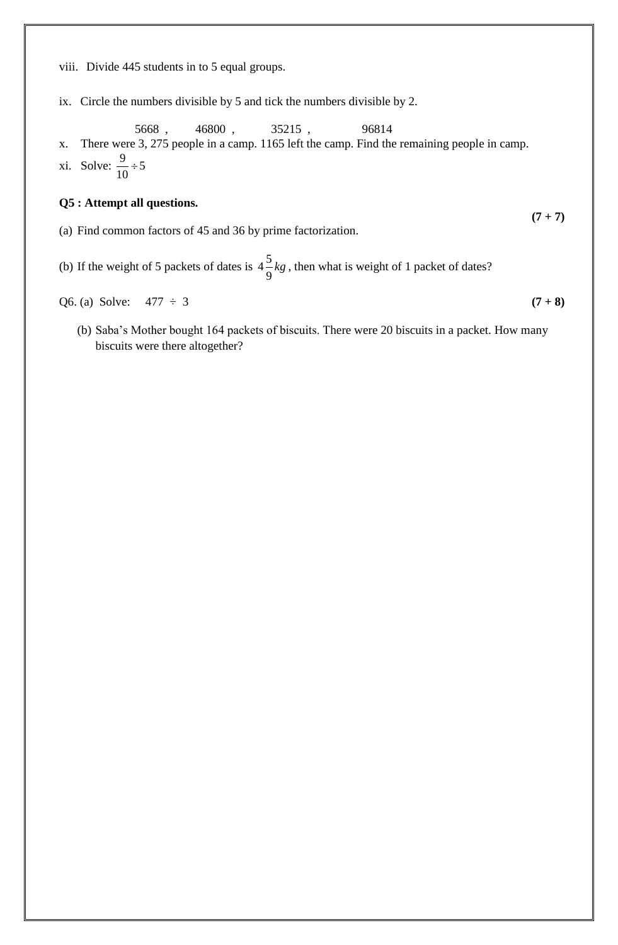viii. Divide 445 students in to 5 equal groups.

ix. Circle the numbers divisible by 5 and tick the numbers divisible by 2.

 5668 , 46800 , 35215 , 96814 x. There were 3, 275 people in a camp. 1165 left the camp. Find the remaining people in camp. xi. Solve:  $\frac{9}{10} \div 5$ 10  $\div$ 

#### **Q5 : Attempt all questions.**

- (a) Find common factors of 45 and 36 by prime factorization.
- (b) If the weight of 5 packets of dates is  $4\frac{5}{9}$ 9 *kg* , then what is weight of 1 packet of dates?

Q6. (a) Solve:  $477 \div 3$  (7 + 8)

(b) Saba's Mother bought 164 packets of biscuits. There were 20 biscuits in a packet. How many biscuits were there altogether?

 $(7 + 7)$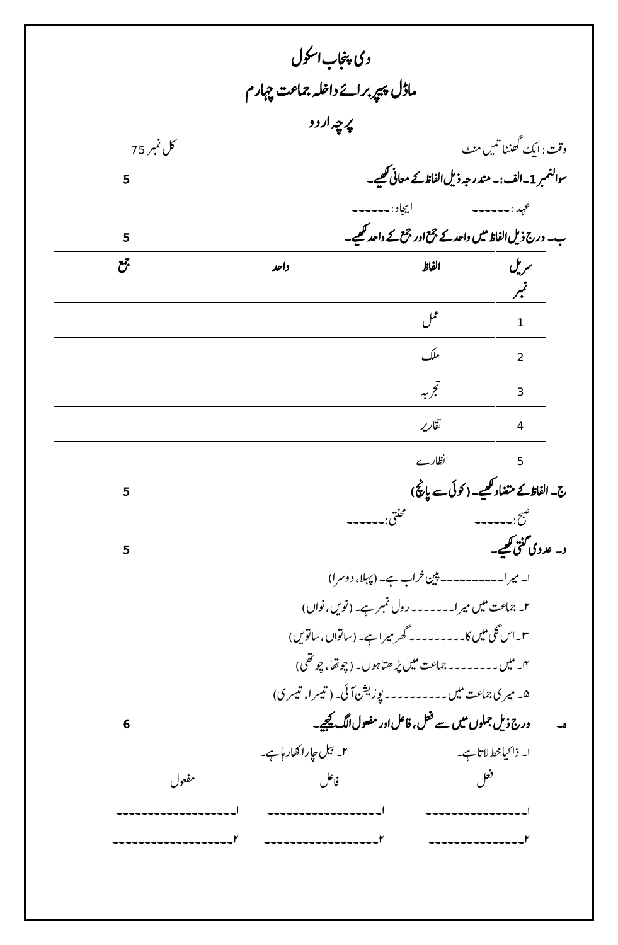|            | دی پنجاب اسکول                   |                                                          |                           |
|------------|----------------------------------|----------------------------------------------------------|---------------------------|
|            | ماڈل پیر برائے داخلہ جماعت چہارم |                                                          |                           |
|            | پرچه اردو                        |                                                          |                           |
| كل نمبر 75 |                                  |                                                          | وقت : ایکَ گھنٹا تنیں منٹ |
| 5          |                                  | سوالنمبر 1۔الف:۔ مندرجہ ذیل الفاظکے معانی کھیے۔          |                           |
|            |                                  | ايجاد :۔۔۔۔۔۔                                            | عہد : ------              |
| 5          |                                  | ب۔ درج ذیل الفاظ میں واحد کے جمع اور جمعے کے واحد کھیے۔  |                           |
| چح         | واحد                             | الفاظ                                                    | سریل                      |
|            |                                  |                                                          | نمبر                      |
|            |                                  | عمل                                                      | $\mathbf{1}$              |
|            |                                  | ملك                                                      | $\overline{2}$            |
|            |                                  | تجربيه                                                   | 3                         |
|            |                                  | تقارير                                                   | 4                         |
|            |                                  | نظارے                                                    | 5                         |
| 5          |                                  | ج۔ الفاظ کے متضاد کھیے۔ ( کوئی سے پانچ)                  |                           |
|            |                                  | مخنق:۔۔۔                                                 | صبح: ------               |
| 5          |                                  |                                                          | د۔ عددی گنتی گھیے۔        |
|            |                                  | ا۔ میر ا۔۔۔۔۔۔۔۔۔ پین خراب ہے۔ (پہلا، دوسرا)             |                           |
|            |                                  | ۲۔ جماعت میں میرا۔۔۔۔۔۔رول نمبر ہے۔ (نویں،نواں)          |                           |
|            |                                  | سىن اس گلى ميں كا۔۔۔۔۔۔۔۔۔گھر مير اہے۔ (ساتواں ، ساتويں) |                           |
|            |                                  | ۴۔ میں ۔۔۔۔۔۔۔۔۔۔اعت میں پڑ ھتاہوں۔ (چوتھا، چوتھی)       |                           |
|            |                                  | ۵- میری جماعت میں ۔۔۔۔۔۔۔۔۔یوزیشنآئی۔ (تیسرا، تیسری)     |                           |
| 6          |                                  | درج ذیل جملوں میں سے فعل، فاعل اور مفعول الگ کیجیے۔      |                           |
|            | ۲۔ بیل جارا کھار ہاہے۔           |                                                          | ا۔ ڈاکیا خط لاتا ہے۔      |
| مفعول      | فاعل                             | فعل                                                      |                           |
|            |                                  |                                                          |                           |
|            | ---------------'                 |                                                          |                           |